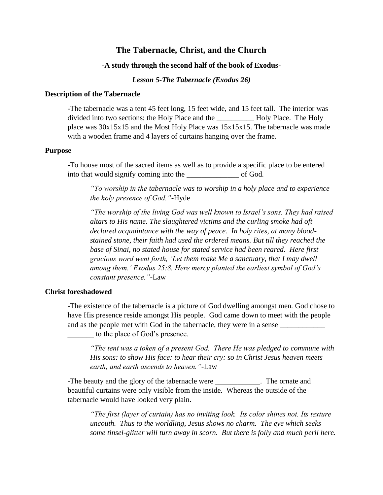# **The Tabernacle, Christ, and the Church**

## **-A study through the second half of the book of Exodus-**

*Lesson 5-The Tabernacle (Exodus 26)*

### **Description of the Tabernacle**

-The tabernacle was a tent 45 feet long, 15 feet wide, and 15 feet tall. The interior was divided into two sections: the Holy Place and the **Holy Place**. The Holy place was 30x15x15 and the Most Holy Place was 15x15x15. The tabernacle was made with a wooden frame and 4 layers of curtains hanging over the frame.

#### **Purpose**

-To house most of the sacred items as well as to provide a specific place to be entered into that would signify coming into the of God.

*"To worship in the tabernacle was to worship in a holy place and to experience the holy presence of God."-*Hyde

*"The worship of the living God was well known to Israel's sons. They had raised altars to His name. The slaughtered victims and the curling smoke had oft declared acquaintance with the way of peace. In holy rites, at many bloodstained stone, their faith had used the ordered means. But till they reached the base of Sinai, no stated house for stated service had been reared. Here first gracious word went forth, 'Let them make Me a sanctuary, that I may dwell among them.' Exodus 25:8. Here mercy planted the earliest symbol of God's constant presence."-*Law

#### **Christ foreshadowed**

-The existence of the tabernacle is a picture of God dwelling amongst men. God chose to have His presence reside amongst His people. God came down to meet with the people and as the people met with God in the tabernacle, they were in a sense \_\_\_\_\_\_\_ to the place of God's presence.

*"The tent was a token of a present God. There He was pledged to commune with His sons: to show His face: to hear their cry: so in Christ Jesus heaven meets earth, and earth ascends to heaven."-*Law

-The beauty and the glory of the tabernacle were \_\_\_\_\_\_\_\_\_\_\_\_\_. The ornate and beautiful curtains were only visible from the inside. Whereas the outside of the tabernacle would have looked very plain.

*"The first (layer of curtain) has no inviting look. Its color shines not. Its texture uncouth. Thus to the worldling, Jesus shows no charm. The eye which seeks some tinsel-glitter will turn away in scorn. But there is folly and much peril here.*